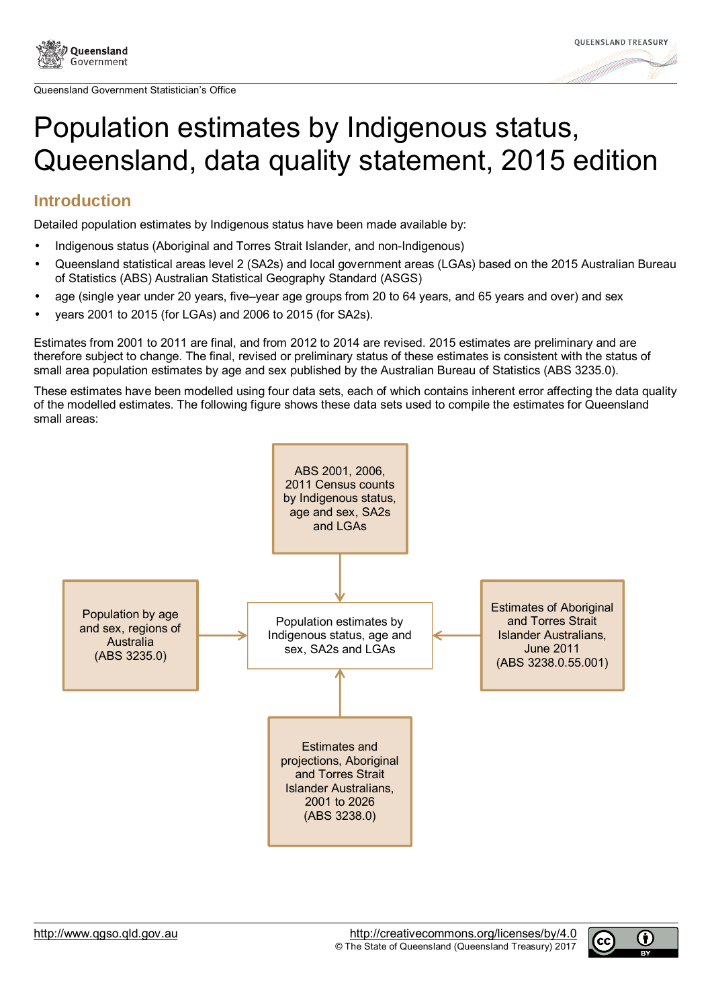

Queensland Government Statistician's Office



# Population estimates by Indigenous status, Queensland, data quality statement, 2015 edition

## **Introduction**

Detailed population estimates by Indigenous status have been made available by:

- Indigenous status (Aboriginal and Torres Strait Islander, and non-Indigenous)
- Queensland statistical areas level 2 (SA2s) and local government areas (LGAs) based on the 2015 Australian Bureau of Statistics (ABS) Australian Statistical Geography Standard (ASGS)
- age (single year under 20 years, five–year age groups from 20 to 64 years, and 65 years and over) and sex
- years 2001 to 2015 (for LGAs) and 2006 to 2015 (for SA2s).

Estimates from 2001 to 2011 are final, and from 2012 to 2014 are revised. 2015 estimates are preliminary and are therefore subject to change. The final, revised or preliminary status of these estimates is consistent with the status of small area population estimates by age and sex published by the Australian Bureau of Statistics (ABS 3235.0).

These estimates have been modelled using four data sets, each of which contains inherent error affecting the data quality of the modelled estimates. The following figure shows these data sets used to compile the estimates for Queensland small areas: